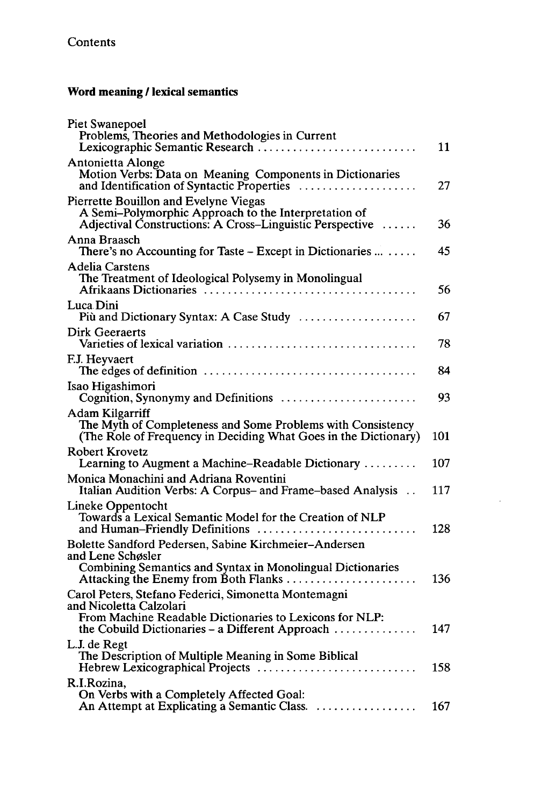## **Word meaning / lexical semantics**

| Piet Swanepoel<br>Problems, Theories and Methodologies in Current<br>Lexicographic Semantic Research                                                                                                                      | 11  |
|---------------------------------------------------------------------------------------------------------------------------------------------------------------------------------------------------------------------------|-----|
| Antonietta Alonge<br>Motion Verbs: Data on Meaning Components in Dictionaries<br>and Identification of Syntactic Properties                                                                                               | 27  |
| Pierrette Bouillon and Evelyne Viegas<br>A Semi-Polymorphic Approach to the Interpretation of<br>Adjectival Constructions: A Cross-Linguistic Perspective                                                                 | 36  |
| Anna Braasch<br>There's no Accounting for Taste – Except in Dictionaries $\dots \dots$                                                                                                                                    | 45  |
| Adelia Carstens<br>The Treatment of Ideological Polysemy in Monolingual<br>Afrikaans Dictionaries                                                                                                                         | 56  |
| Luca Dini<br>Più and Dictionary Syntax: A Case Study                                                                                                                                                                      | 67  |
| Dirk Geeraerts<br>Varieties of lexical variation                                                                                                                                                                          | 78  |
| F.J. Heyvaert                                                                                                                                                                                                             | 84  |
| Isao Higashimori<br>Cognition, Synonymy and Definitions                                                                                                                                                                   | 93  |
| <b>Adam Kilgarriff</b><br>The Myth of Completeness and Some Problems with Consistency<br>(The Role of Frequency in Deciding What Goes in the Dictionary)                                                                  | 101 |
| <b>Robert Krovetz</b><br>Learning to Augment a Machine-Readable Dictionary                                                                                                                                                | 107 |
| Monica Monachini and Adriana Roventini<br>Italian Audition Verbs: A Corpus- and Frame-based Analysis                                                                                                                      | 117 |
| Lineke Oppentocht<br>Towards a Lexical Semantic Model for the Creation of NLP<br>and Human-Friendly Definitions                                                                                                           | 128 |
| Bolette Sandford Pedersen, Sabine Kirchmeier-Andersen<br>and Lene Schøsler<br>Combining Semantics and Syntax in Monolingual Dictionaries<br>Attacking the Enemy from Both Flanks $\dots \dots \dots \dots \dots$          | 136 |
| Carol Peters, Stefano Federici, Simonetta Montemagni<br>and Nicoletta Calzolari<br>From Machine Readable Dictionaries to Lexicons for NLP:<br>the Cobuild Dictionaries – a Different Approach $\dots\dots\dots\dots\dots$ | 147 |
| L.J. de Regt<br>The Description of Multiple Meaning in Some Biblical<br>Hebrew Lexicographical Projects                                                                                                                   | 158 |
| R.I.Rozina,<br>On Verbs with a Completely Affected Goal:<br>An Attempt at Explicating a Semantic Class.                                                                                                                   | 167 |

 $\cdot$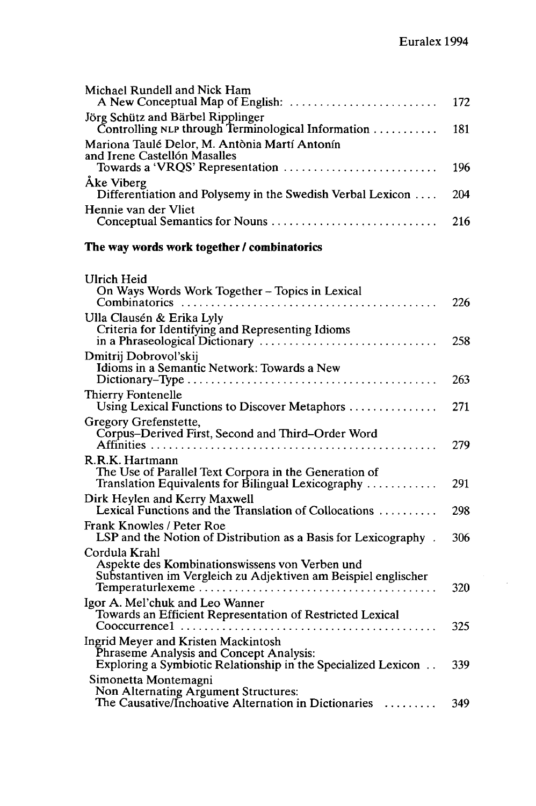| Michael Rundell and Nick Ham<br>A New Conceptual Map of English:                                                                                                        | 172 |
|-------------------------------------------------------------------------------------------------------------------------------------------------------------------------|-----|
| Jörg Schütz and Bärbel Ripplinger<br>Controlling NLP through Terminological Information $\ldots \ldots \ldots$                                                          | 181 |
| Mariona Taulé Delor, M. Antònia Martí Antonín<br>and Irene Castellón Masalles                                                                                           |     |
| Towards a 'VRQS' Representation<br>Åke Viberg                                                                                                                           | 196 |
| Differentiation and Polysemy in the Swedish Verbal Lexicon                                                                                                              | 204 |
| Hennie van der Vliet                                                                                                                                                    | 216 |
| The way words work together / combinatorics                                                                                                                             |     |
| Ulrich Heid                                                                                                                                                             |     |
| On Ways Words Work Together - Topics in Lexical                                                                                                                         | 226 |
| Ulla Clausén & Erika Lyly                                                                                                                                               |     |
| Criteria for Identifying and Representing Idioms                                                                                                                        | 258 |
| Dmitrij Dobrovol'skij<br>Idioms in a Semantic Network: Towards a New                                                                                                    |     |
|                                                                                                                                                                         | 263 |
| Thierry Fontenelle<br>Using Lexical Functions to Discover Metaphors                                                                                                     | 271 |
| Gregory Grefenstette,<br>Corpus-Derived First, Second and Third-Order Word                                                                                              | 279 |
| R.R.K. Hartmann                                                                                                                                                         |     |
| The Use of Parallel Text Corpora in the Generation of<br>Translation Equivalents for Bilingual Lexicography                                                             | 291 |
| Dirk Heylen and Kerry Maxwell<br>Lexical Functions and the Translation of Collocations $\dots \dots$                                                                    | 298 |
| Frank Knowles / Peter Roe<br>LSP and the Notion of Distribution as a Basis for Lexicography.                                                                            | 306 |
| Cordula Krahl                                                                                                                                                           |     |
| Aspekte des Kombinationswissens von Verben und<br>Substantiven im Vergleich zu Adjektiven am Beispiel englischer                                                        | 320 |
| Igor A. Mel'chuk and Leo Wanner                                                                                                                                         |     |
| Towards an Efficient Representation of Restricted Lexical<br>$\text{Cooccurrence}1 \ldots \ldots \ldots \ldots \ldots \ldots \ldots \ldots \ldots \ldots \ldots \ldots$ | 325 |
| Ingrid Meyer and Kristen Mackintosh<br>Phraseme Analysis and Concept Analysis:                                                                                          |     |
| Exploring a Symbiotic Relationship in the Specialized Lexicon                                                                                                           | 339 |
| Simonetta Montemagni<br>Non Alternating Argument Structures:                                                                                                            |     |
| The Causative/Inchoative Alternation in Dictionaries                                                                                                                    | 349 |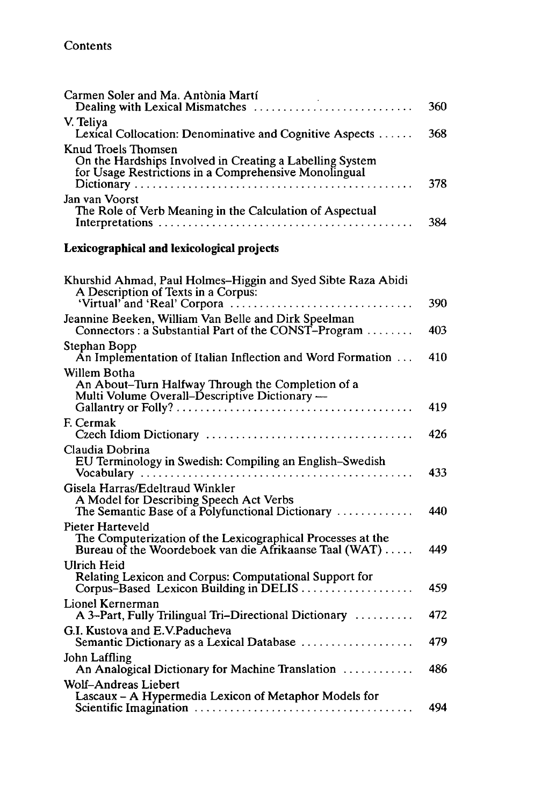| Carmen Soler and Ma. Antònia Martí<br>Dealing with Lexical Mismatches                                                                     | 360 |
|-------------------------------------------------------------------------------------------------------------------------------------------|-----|
| V. Teliya<br>Lexical Collocation: Denominative and Cognitive Aspects                                                                      | 368 |
| Knud Troels Thomsen<br>On the Hardships Involved in Creating a Labelling System<br>for Usage Restrictions in a Comprehensive Monolingual  | 378 |
| Jan van Voorst<br>The Role of Verb Meaning in the Calculation of Aspectual                                                                | 384 |
| Lexicographical and lexicological projects                                                                                                |     |
| Khurshid Ahmad, Paul Holmes-Higgin and Syed Sibte Raza Abidi<br>A Description of Texts in a Corpus:                                       | 390 |
| Jeannine Beeken, William Van Belle and Dirk Speelman<br>Connectors : a Substantial Part of the CONST-Program                              | 403 |
| Stephan Bopp<br>An Implementation of Italian Inflection and Word Formation                                                                | 410 |
| Willem Botha<br>An About-Turn Halfway Through the Completion of a<br>Multi Volume Overall-Descriptive Dictionary —                        | 419 |
| F. Cermak                                                                                                                                 | 426 |
| Claudia Dobrina<br>EU Terminology in Swedish: Compiling an English-Swedish                                                                | 433 |
| Gisela Harras/Edeltraud Winkler<br>A Model for Describing Speech Act Verbs<br>The Semantic Base of a Polyfunctional Dictionary            | 440 |
| Pieter Harteveld<br>The Computerization of the Lexicographical Processes at the<br>Bureau of the Woordeboek van die Afrikaanse Taal (WAT) | 449 |
| Ulrich Heid<br>Relating Lexicon and Corpus: Computational Support for<br>Corpus–Based Lexicon Building in DELIS                           | 459 |
| Lionel Kernerman<br>A 3-Part, Fully Trilingual Tri-Directional Dictionary                                                                 | 472 |
| G.I. Kustova and E.V.Paducheva<br>Semantic Dictionary as a Lexical Database                                                               | 479 |
| John Laffling<br>An Analogical Dictionary for Machine Translation                                                                         | 486 |
| Wolf–Andreas Liebert<br>Lascaux - A Hypermedia Lexicon of Metaphor Models for                                                             | 494 |